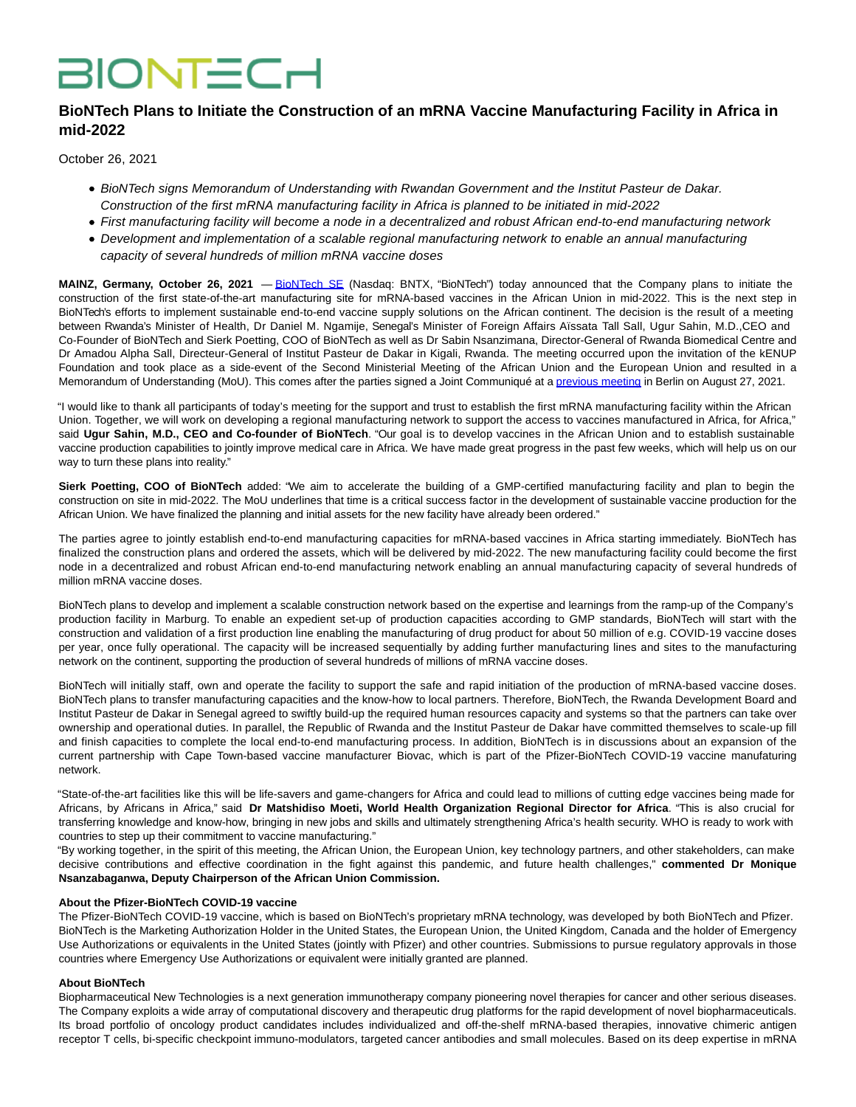# **BIONTECH**

# **BioNTech Plans to Initiate the Construction of an mRNA Vaccine Manufacturing Facility in Africa in mid-2022**

October 26, 2021

- BioNTech signs Memorandum of Understanding with Rwandan Government and the Institut Pasteur de Dakar. Construction of the first mRNA manufacturing facility in Africa is planned to be initiated in mid-2022
- First manufacturing facility will become a node in a decentralized and robust African end-to-end manufacturing network
- Development and implementation of a scalable regional manufacturing network to enable an annual manufacturing capacity of several hundreds of million mRNA vaccine doses

**MAINZ, Germany, October 26, 2021** — [BioNTech SE](https://www.globenewswire.com/Tracker?data=VHR1FUHciuFd36iNx6_ZBKWpEjdmbBJ72wRliGPoMbTOWQ4P9CJTZkfWzh4tpkc4Ul-4xPTjvMa6If0jYd2qDg==) (Nasdaq: BNTX, "BioNTech") today announced that the Company plans to initiate the construction of the first state-of-the-art manufacturing site for mRNA-based vaccines in the African Union in mid-2022. This is the next step in BioNTech's efforts to implement sustainable end-to-end vaccine supply solutions on the African continent. The decision is the result of a meeting between Rwanda's Minister of Health, Dr Daniel M. Ngamije, Senegal's Minister of Foreign Affairs Aïssata Tall Sall, Ugur Sahin, M.D.,CEO and Co-Founder of BioNTech and Sierk Poetting, COO of BioNTech as well as Dr Sabin Nsanzimana, Director-General of Rwanda Biomedical Centre and Dr Amadou Alpha Sall, Directeur-General of Institut Pasteur de Dakar in Kigali, Rwanda. The meeting occurred upon the invitation of the kENUP Foundation and took place as a side-event of the Second Ministerial Meeting of the African Union and the European Union and resulted in a Memorandum of Understanding (MoU). This comes after the parties signed a Joint Communiqué at a [previous meeting i](https://www.globenewswire.com/Tracker?data=RFOZ2zpsyhlUBM4JQvpkNN5L-C5w_ZrUaxLqk1ETrsZ9BOUhZ5KzZznN9NIibjRz_-D_YjwTxnlkY-cboQr0EeyVAvQ4Ova79lPBIwUvnl5WxMgzOcJFdhJcXpXYDSx1NZFdclk9OdJeERbdh_bhnfipTZn0iAkPbshAfN8XG448OZf2YV-GKamduYVVyuN16Zk8EGIPlx7CsLS4WO4ycFX3aThFJUJSHuwytnNl6ek=)n Berlin on August 27, 2021.

"I would like to thank all participants of today's meeting for the support and trust to establish the first mRNA manufacturing facility within the African Union. Together, we will work on developing a regional manufacturing network to support the access to vaccines manufactured in Africa, for Africa," said **Ugur Sahin, M.D., CEO and Co-founder of BioNTech**. "Our goal is to develop vaccines in the African Union and to establish sustainable vaccine production capabilities to jointly improve medical care in Africa. We have made great progress in the past few weeks, which will help us on our way to turn these plans into reality."

**Sierk Poetting, COO of BioNTech** added: "We aim to accelerate the building of a GMP-certified manufacturing facility and plan to begin the construction on site in mid-2022. The MoU underlines that time is a critical success factor in the development of sustainable vaccine production for the African Union. We have finalized the planning and initial assets for the new facility have already been ordered."

The parties agree to jointly establish end-to-end manufacturing capacities for mRNA-based vaccines in Africa starting immediately. BioNTech has finalized the construction plans and ordered the assets, which will be delivered by mid-2022. The new manufacturing facility could become the first node in a decentralized and robust African end-to-end manufacturing network enabling an annual manufacturing capacity of several hundreds of million mRNA vaccine doses.

BioNTech plans to develop and implement a scalable construction network based on the expertise and learnings from the ramp-up of the Company's production facility in Marburg. To enable an expedient set-up of production capacities according to GMP standards, BioNTech will start with the construction and validation of a first production line enabling the manufacturing of drug product for about 50 million of e.g. COVID-19 vaccine doses per year, once fully operational. The capacity will be increased sequentially by adding further manufacturing lines and sites to the manufacturing network on the continent, supporting the production of several hundreds of millions of mRNA vaccine doses.

BioNTech will initially staff, own and operate the facility to support the safe and rapid initiation of the production of mRNA-based vaccine doses. BioNTech plans to transfer manufacturing capacities and the know-how to local partners. Therefore, BioNTech, the Rwanda Development Board and Institut Pasteur de Dakar in Senegal agreed to swiftly build-up the required human resources capacity and systems so that the partners can take over ownership and operational duties. In parallel, the Republic of Rwanda and the Institut Pasteur de Dakar have committed themselves to scale-up fill and finish capacities to complete the local end-to-end manufacturing process. In addition, BioNTech is in discussions about an expansion of the current partnership with Cape Town-based vaccine manufacturer Biovac, which is part of the Pfizer-BioNTech COVID-19 vaccine manufaturing network.

"State-of-the-art facilities like this will be life-savers and game-changers for Africa and could lead to millions of cutting edge vaccines being made for Africans, by Africans in Africa," said **Dr Matshidiso Moeti, World Health Organization Regional Director for Africa**. "This is also crucial for transferring knowledge and know-how, bringing in new jobs and skills and ultimately strengthening Africa's health security. WHO is ready to work with countries to step up their commitment to vaccine manufacturing."

"By working together, in the spirit of this meeting, the African Union, the European Union, key technology partners, and other stakeholders, can make decisive contributions and effective coordination in the fight against this pandemic, and future health challenges," **commented Dr Monique Nsanzabaganwa, Deputy Chairperson of the African Union Commission.**

## **About the Pfizer-BioNTech COVID-19 vaccine**

The Pfizer-BioNTech COVID-19 vaccine, which is based on BioNTech's proprietary mRNA technology, was developed by both BioNTech and Pfizer. BioNTech is the Marketing Authorization Holder in the United States, the European Union, the United Kingdom, Canada and the holder of Emergency Use Authorizations or equivalents in the United States (jointly with Pfizer) and other countries. Submissions to pursue regulatory approvals in those countries where Emergency Use Authorizations or equivalent were initially granted are planned.

# **About BioNTech**

Biopharmaceutical New Technologies is a next generation immunotherapy company pioneering novel therapies for cancer and other serious diseases. The Company exploits a wide array of computational discovery and therapeutic drug platforms for the rapid development of novel biopharmaceuticals. Its broad portfolio of oncology product candidates includes individualized and off-the-shelf mRNA-based therapies, innovative chimeric antigen receptor T cells, bi-specific checkpoint immuno-modulators, targeted cancer antibodies and small molecules. Based on its deep expertise in mRNA